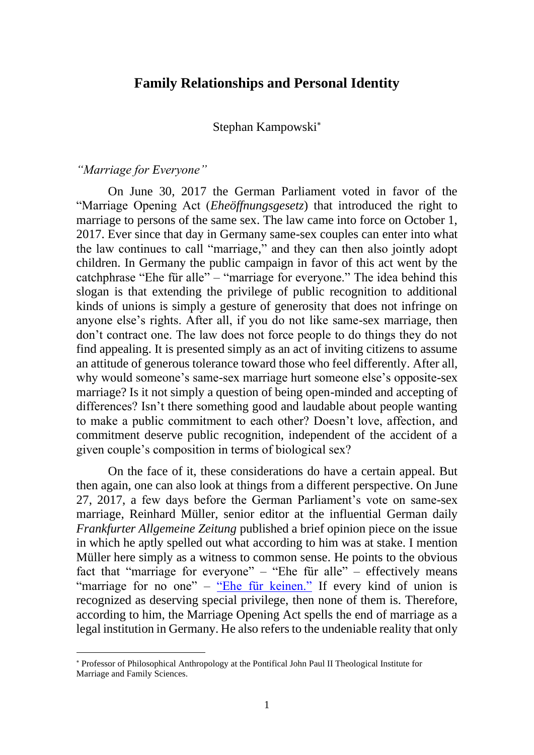# **Family Relationships and Personal Identity**

Stephan Kampowski

#### *"Marriage for Everyone"*

On June 30, 2017 the German Parliament voted in favor of the "Marriage Opening Act (*Eheöffnungsgesetz*) that introduced the right to marriage to persons of the same sex. The law came into force on October 1, 2017. Ever since that day in Germany same-sex couples can enter into what the law continues to call "marriage," and they can then also jointly adopt children. In Germany the public campaign in favor of this act went by the catchphrase "Ehe für alle" – "marriage for everyone." The idea behind this slogan is that extending the privilege of public recognition to additional kinds of unions is simply a gesture of generosity that does not infringe on anyone else's rights. After all, if you do not like same-sex marriage, then don't contract one. The law does not force people to do things they do not find appealing. It is presented simply as an act of inviting citizens to assume an attitude of generous tolerance toward those who feel differently. After all, why would someone's same-sex marriage hurt someone else's opposite-sex marriage? Is it not simply a question of being open-minded and accepting of differences? Isn't there something good and laudable about people wanting to make a public commitment to each other? Doesn't love, affection, and commitment deserve public recognition, independent of the accident of a given couple's composition in terms of biological sex?

On the face of it, these considerations do have a certain appeal. But then again, one can also look at things from a different perspective. On June 27, 2017, a few days before the German Parliament's vote on same-sex marriage, Reinhard Müller, senior editor at the influential German daily *Frankfurter Allgemeine Zeitung* published a brief opinion piece on the issue in which he aptly spelled out what according to him was at stake. I mention Müller here simply as a witness to common sense. He points to the obvious fact that "marriage for everyone" – "Ehe für alle" – effectively means "marriage for no one" – ["Ehe für keinen."](https://www.faz.net/aktuell/politik/inland/kommentar-zur-ehe-fuer-alle-die-ehe-wird-abgeschafft-15079952.html) If every kind of union is recognized as deserving special privilege, then none of them is. Therefore, according to him, the Marriage Opening Act spells the end of marriage as a legal institution in Germany. He also refers to the undeniable reality that only

Professor of Philosophical Anthropology at the Pontifical John Paul II Theological Institute for Marriage and Family Sciences.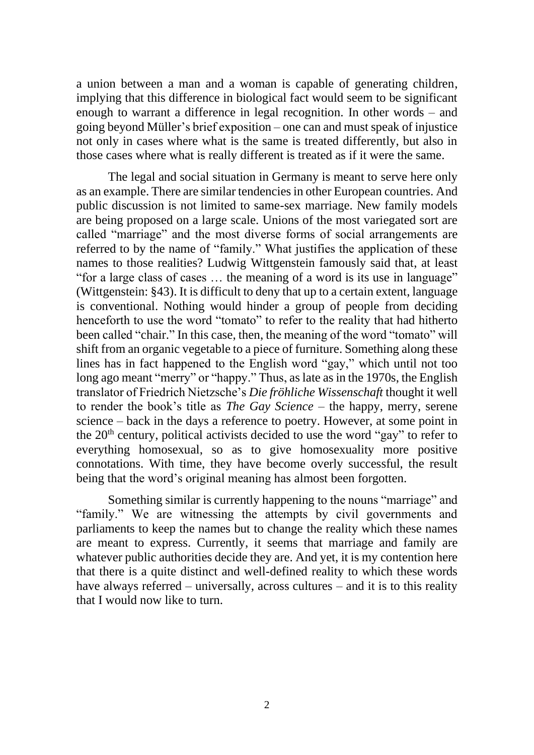a union between a man and a woman is capable of generating children, implying that this difference in biological fact would seem to be significant enough to warrant a difference in legal recognition. In other words – and going beyond Müller's brief exposition – one can and must speak of injustice not only in cases where what is the same is treated differently, but also in those cases where what is really different is treated as if it were the same.

The legal and social situation in Germany is meant to serve here only as an example. There are similar tendencies in other European countries. And public discussion is not limited to same-sex marriage. New family models are being proposed on a large scale. Unions of the most variegated sort are called "marriage" and the most diverse forms of social arrangements are referred to by the name of "family." What justifies the application of these names to those realities? Ludwig Wittgenstein famously said that, at least "for a large class of cases … the meaning of a word is its use in language" (Wittgenstein: §43). It is difficult to deny that up to a certain extent, language is conventional. Nothing would hinder a group of people from deciding henceforth to use the word "tomato" to refer to the reality that had hitherto been called "chair." In this case, then, the meaning of the word "tomato" will shift from an organic vegetable to a piece of furniture. Something along these lines has in fact happened to the English word "gay," which until not too long ago meant "merry" or "happy." Thus, as late as in the 1970s, the English translator of Friedrich Nietzsche's *Die fröhliche Wissenschaft* thought it well to render the book's title as *The Gay Science* – the happy, merry, serene science – back in the days a reference to poetry. However, at some point in the  $20<sup>th</sup>$  century, political activists decided to use the word "gay" to refer to everything homosexual, so as to give homosexuality more positive connotations. With time, they have become overly successful, the result being that the word's original meaning has almost been forgotten.

Something similar is currently happening to the nouns "marriage" and "family." We are witnessing the attempts by civil governments and parliaments to keep the names but to change the reality which these names are meant to express. Currently, it seems that marriage and family are whatever public authorities decide they are. And yet, it is my contention here that there is a quite distinct and well-defined reality to which these words have always referred – universally, across cultures – and it is to this reality that I would now like to turn.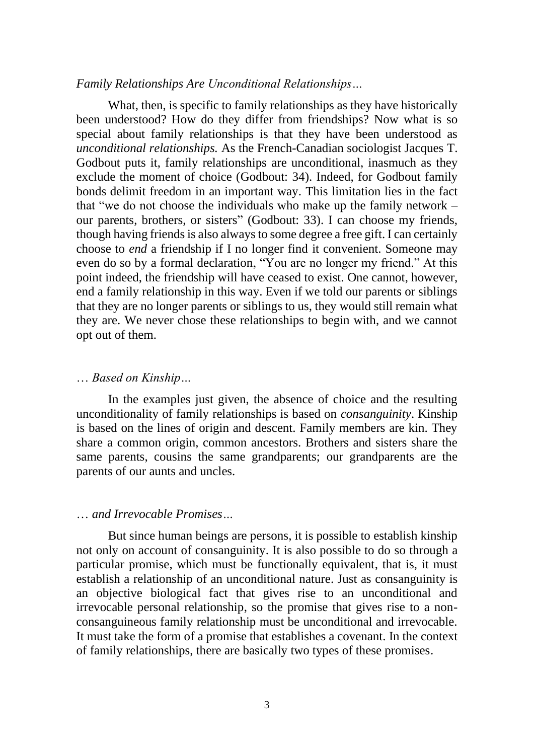## *Family Relationships Are Unconditional Relationships…*

What, then, is specific to family relationships as they have historically been understood? How do they differ from friendships? Now what is so special about family relationships is that they have been understood as *unconditional relationships.* As the French-Canadian sociologist Jacques T. Godbout puts it, family relationships are unconditional, inasmuch as they exclude the moment of choice (Godbout: 34). Indeed, for Godbout family bonds delimit freedom in an important way. This limitation lies in the fact that "we do not choose the individuals who make up the family network – our parents, brothers, or sisters" (Godbout: 33). I can choose my friends, though having friends is also always to some degree a free gift. I can certainly choose to *end* a friendship if I no longer find it convenient. Someone may even do so by a formal declaration, "You are no longer my friend." At this point indeed, the friendship will have ceased to exist. One cannot, however, end a family relationship in this way. Even if we told our parents or siblings that they are no longer parents or siblings to us, they would still remain what they are. We never chose these relationships to begin with, and we cannot opt out of them.

### … *Based on Kinship…*

In the examples just given, the absence of choice and the resulting unconditionality of family relationships is based on *consanguinity*. Kinship is based on the lines of origin and descent. Family members are kin. They share a common origin, common ancestors. Brothers and sisters share the same parents, cousins the same grandparents; our grandparents are the parents of our aunts and uncles.

#### … *and Irrevocable Promises…*

But since human beings are persons, it is possible to establish kinship not only on account of consanguinity. It is also possible to do so through a particular promise, which must be functionally equivalent, that is, it must establish a relationship of an unconditional nature. Just as consanguinity is an objective biological fact that gives rise to an unconditional and irrevocable personal relationship, so the promise that gives rise to a nonconsanguineous family relationship must be unconditional and irrevocable. It must take the form of a promise that establishes a covenant. In the context of family relationships, there are basically two types of these promises.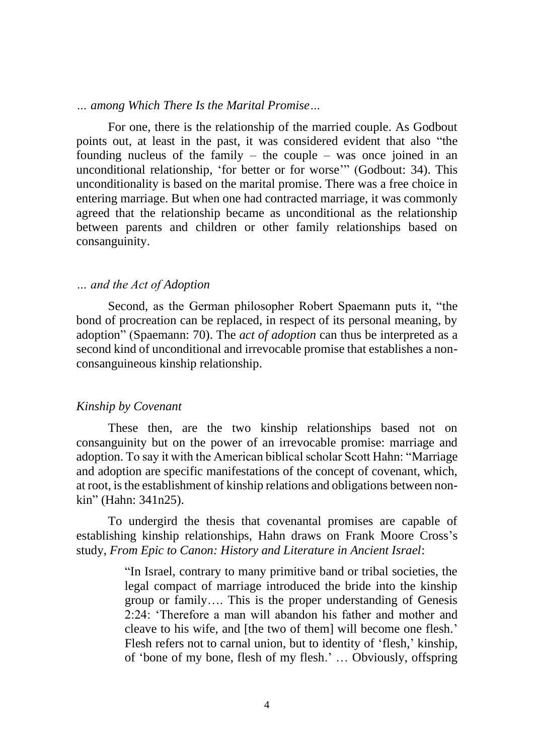*… among Which There Is the Marital Promise…* 

For one, there is the relationship of the married couple. As Godbout points out, at least in the past, it was considered evident that also "the founding nucleus of the family – the couple – was once joined in an unconditional relationship, 'for better or for worse'" (Godbout: 34). This unconditionality is based on the marital promise. There was a free choice in entering marriage. But when one had contracted marriage, it was commonly agreed that the relationship became as unconditional as the relationship between parents and children or other family relationships based on consanguinity.

#### *… and the Act of Adoption*

Second, as the German philosopher Robert Spaemann puts it, "the bond of procreation can be replaced, in respect of its personal meaning, by adoption" (Spaemann: 70). The *act of adoption* can thus be interpreted as a second kind of unconditional and irrevocable promise that establishes a nonconsanguineous kinship relationship.

#### *Kinship by Covenant*

These then, are the two kinship relationships based not on consanguinity but on the power of an irrevocable promise: marriage and adoption. To say it with the American biblical scholar Scott Hahn: "Marriage and adoption are specific manifestations of the concept of covenant, which, at root, is the establishment of kinship relations and obligations between nonkin" (Hahn: 341n25).

To undergird the thesis that covenantal promises are capable of establishing kinship relationships, Hahn draws on Frank Moore Cross's study, *From Epic to Canon: History and Literature in Ancient Israel*:

> "In Israel, contrary to many primitive band or tribal societies, the legal compact of marriage introduced the bride into the kinship group or family…. This is the proper understanding of Genesis 2:24: 'Therefore a man will abandon his father and mother and cleave to his wife, and [the two of them] will become one flesh.' Flesh refers not to carnal union, but to identity of 'flesh,' kinship, of 'bone of my bone, flesh of my flesh.' … Obviously, offspring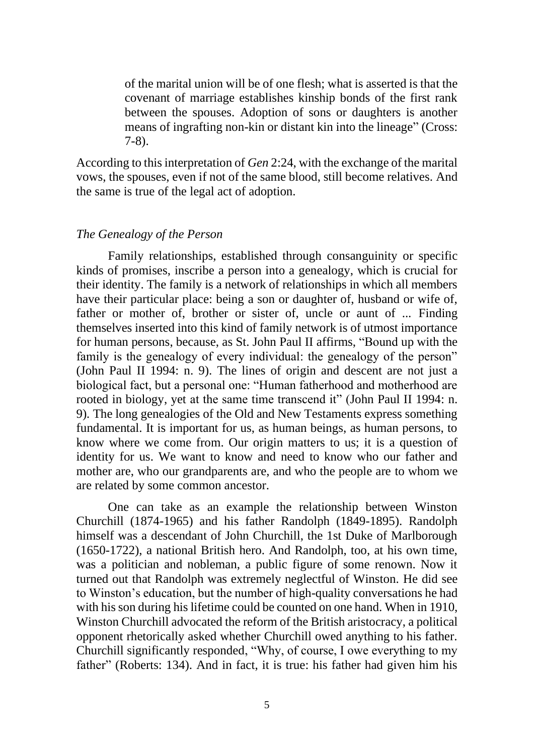of the marital union will be of one flesh; what is asserted is that the covenant of marriage establishes kinship bonds of the first rank between the spouses. Adoption of sons or daughters is another means of ingrafting non-kin or distant kin into the lineage" (Cross: 7-8).

According to this interpretation of *Gen* 2:24, with the exchange of the marital vows, the spouses, even if not of the same blood, still become relatives. And the same is true of the legal act of adoption.

## *The Genealogy of the Person*

Family relationships, established through consanguinity or specific kinds of promises, inscribe a person into a genealogy, which is crucial for their identity. The family is a network of relationships in which all members have their particular place: being a son or daughter of, husband or wife of, father or mother of, brother or sister of, uncle or aunt of ... Finding themselves inserted into this kind of family network is of utmost importance for human persons, because, as St. John Paul II affirms, "Bound up with the family is the genealogy of every individual: the genealogy of the person" (John Paul II 1994: n. 9). The lines of origin and descent are not just a biological fact, but a personal one: "Human fatherhood and motherhood are rooted in biology, yet at the same time transcend it" (John Paul II 1994: n. 9)*.* The long genealogies of the Old and New Testaments express something fundamental. It is important for us, as human beings, as human persons, to know where we come from. Our origin matters to us; it is a question of identity for us. We want to know and need to know who our father and mother are, who our grandparents are, and who the people are to whom we are related by some common ancestor.

One can take as an example the relationship between Winston Churchill (1874-1965) and his father Randolph (1849-1895). Randolph himself was a descendant of John Churchill, the 1st Duke of Marlborough (1650-1722), a national British hero. And Randolph, too, at his own time, was a politician and nobleman, a public figure of some renown. Now it turned out that Randolph was extremely neglectful of Winston. He did see to Winston's education, but the number of high-quality conversations he had with his son during his lifetime could be counted on one hand. When in 1910, Winston Churchill advocated the reform of the British aristocracy, a political opponent rhetorically asked whether Churchill owed anything to his father. Churchill significantly responded, "Why, of course, I owe everything to my father" (Roberts: 134). And in fact, it is true: his father had given him his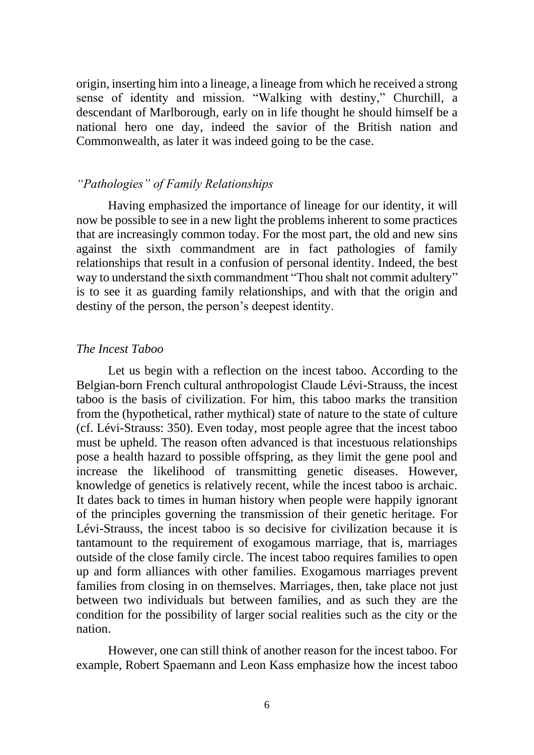origin, inserting him into a lineage, a lineage from which he received a strong sense of identity and mission. "Walking with destiny," Churchill, a descendant of Marlborough, early on in life thought he should himself be a national hero one day, indeed the savior of the British nation and Commonwealth, as later it was indeed going to be the case.

### *"Pathologies" of Family Relationships*

Having emphasized the importance of lineage for our identity, it will now be possible to see in a new light the problems inherent to some practices that are increasingly common today. For the most part, the old and new sins against the sixth commandment are in fact pathologies of family relationships that result in a confusion of personal identity. Indeed, the best way to understand the sixth commandment "Thou shalt not commit adultery" is to see it as guarding family relationships, and with that the origin and destiny of the person, the person's deepest identity.

## *The Incest Taboo*

Let us begin with a reflection on the incest taboo. According to the Belgian-born French cultural anthropologist Claude Lévi-Strauss, the incest taboo is the basis of civilization. For him, this taboo marks the transition from the (hypothetical, rather mythical) state of nature to the state of culture (cf. Lévi-Strauss: 350). Even today, most people agree that the incest taboo must be upheld. The reason often advanced is that incestuous relationships pose a health hazard to possible offspring, as they limit the gene pool and increase the likelihood of transmitting genetic diseases. However, knowledge of genetics is relatively recent, while the incest taboo is archaic. It dates back to times in human history when people were happily ignorant of the principles governing the transmission of their genetic heritage. For Lévi-Strauss, the incest taboo is so decisive for civilization because it is tantamount to the requirement of exogamous marriage, that is, marriages outside of the close family circle. The incest taboo requires families to open up and form alliances with other families. Exogamous marriages prevent families from closing in on themselves. Marriages, then, take place not just between two individuals but between families, and as such they are the condition for the possibility of larger social realities such as the city or the nation.

However, one can still think of another reason for the incest taboo. For example, Robert Spaemann and Leon Kass emphasize how the incest taboo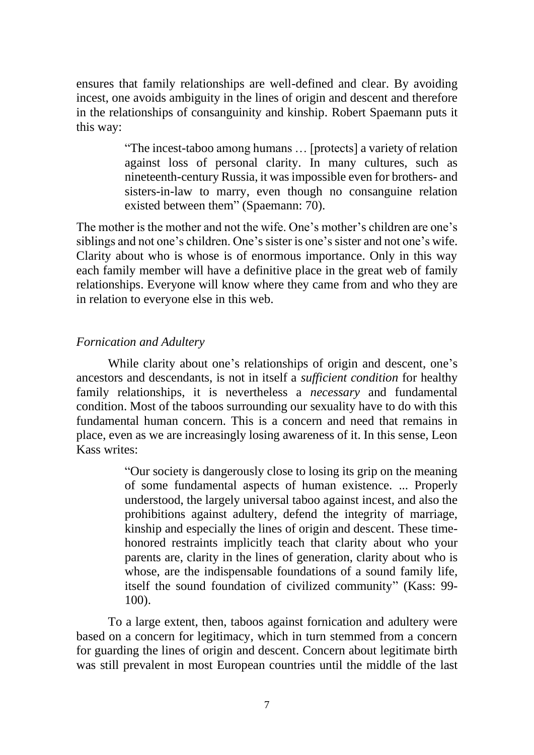ensures that family relationships are well-defined and clear. By avoiding incest, one avoids ambiguity in the lines of origin and descent and therefore in the relationships of consanguinity and kinship. Robert Spaemann puts it this way:

> "The incest-taboo among humans … [protects] a variety of relation against loss of personal clarity. In many cultures, such as nineteenth-century Russia, it was impossible even for brothers- and sisters-in-law to marry, even though no consanguine relation existed between them" (Spaemann: 70).

The mother is the mother and not the wife. One's mother's children are one's siblings and not one's children. One's sister is one's sister and not one's wife. Clarity about who is whose is of enormous importance. Only in this way each family member will have a definitive place in the great web of family relationships. Everyone will know where they came from and who they are in relation to everyone else in this web.

# *Fornication and Adultery*

While clarity about one's relationships of origin and descent, one's ancestors and descendants, is not in itself a *sufficient condition* for healthy family relationships, it is nevertheless a *necessary* and fundamental condition. Most of the taboos surrounding our sexuality have to do with this fundamental human concern. This is a concern and need that remains in place, even as we are increasingly losing awareness of it. In this sense, Leon Kass writes:

> "Our society is dangerously close to losing its grip on the meaning of some fundamental aspects of human existence. ... Properly understood, the largely universal taboo against incest, and also the prohibitions against adultery, defend the integrity of marriage, kinship and especially the lines of origin and descent. These timehonored restraints implicitly teach that clarity about who your parents are, clarity in the lines of generation, clarity about who is whose, are the indispensable foundations of a sound family life, itself the sound foundation of civilized community" (Kass: 99- 100).

To a large extent, then, taboos against fornication and adultery were based on a concern for legitimacy, which in turn stemmed from a concern for guarding the lines of origin and descent. Concern about legitimate birth was still prevalent in most European countries until the middle of the last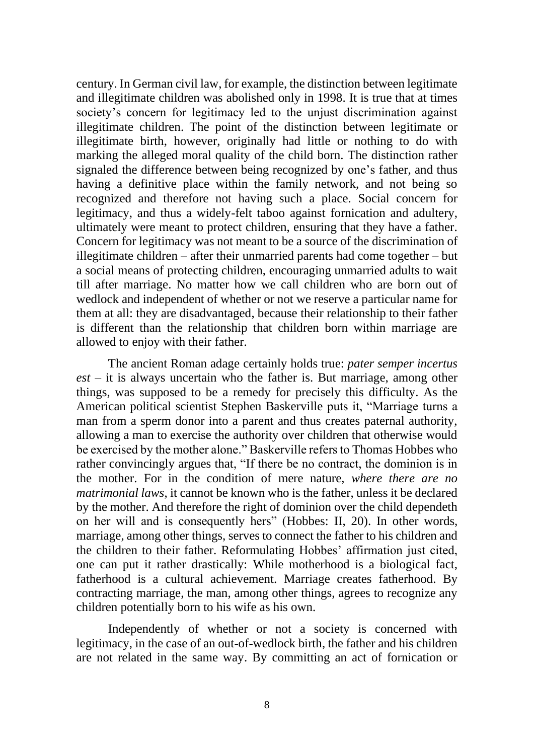century. In German civil law, for example, the distinction between legitimate and illegitimate children was abolished only in 1998. It is true that at times society's concern for legitimacy led to the unjust discrimination against illegitimate children. The point of the distinction between legitimate or illegitimate birth, however, originally had little or nothing to do with marking the alleged moral quality of the child born. The distinction rather signaled the difference between being recognized by one's father, and thus having a definitive place within the family network, and not being so recognized and therefore not having such a place. Social concern for legitimacy, and thus a widely-felt taboo against fornication and adultery, ultimately were meant to protect children, ensuring that they have a father. Concern for legitimacy was not meant to be a source of the discrimination of illegitimate children – after their unmarried parents had come together – but a social means of protecting children, encouraging unmarried adults to wait till after marriage. No matter how we call children who are born out of wedlock and independent of whether or not we reserve a particular name for them at all: they are disadvantaged, because their relationship to their father is different than the relationship that children born within marriage are allowed to enjoy with their father.

The ancient Roman adage certainly holds true: *pater semper incertus est –* it is always uncertain who the father is. But marriage, among other things, was supposed to be a remedy for precisely this difficulty. As the American political scientist Stephen Baskerville puts it, "Marriage turns a man from a sperm donor into a parent and thus creates paternal authority, allowing a man to exercise the authority over children that otherwise would be exercised by the mother alone." Baskerville refers to Thomas Hobbes who rather convincingly argues that, "If there be no contract, the dominion is in the mother. For in the condition of mere nature, *where there are no matrimonial laws*, it cannot be known who is the father, unless it be declared by the mother. And therefore the right of dominion over the child dependeth on her will and is consequently hers" (Hobbes: II, 20). In other words, marriage, among other things, serves to connect the father to his children and the children to their father. Reformulating Hobbes' affirmation just cited, one can put it rather drastically: While motherhood is a biological fact, fatherhood is a cultural achievement. Marriage creates fatherhood. By contracting marriage, the man, among other things, agrees to recognize any children potentially born to his wife as his own.

Independently of whether or not a society is concerned with legitimacy, in the case of an out-of-wedlock birth, the father and his children are not related in the same way. By committing an act of fornication or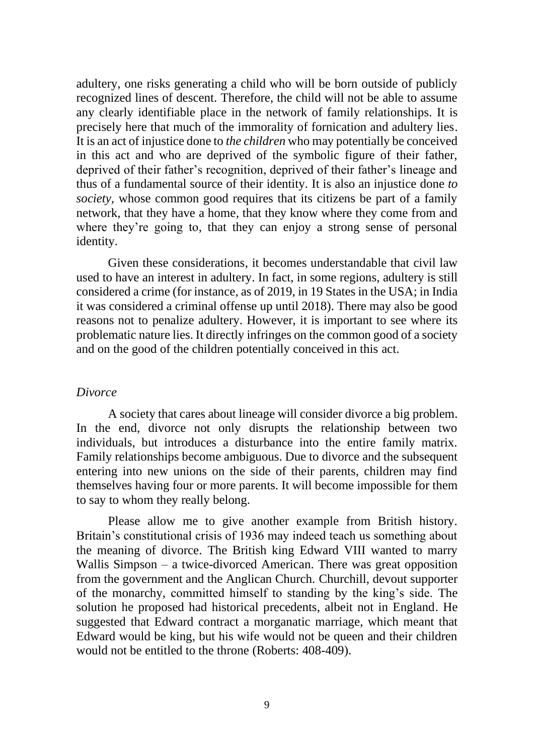adultery, one risks generating a child who will be born outside of publicly recognized lines of descent. Therefore, the child will not be able to assume any clearly identifiable place in the network of family relationships. It is precisely here that much of the immorality of fornication and adultery lies. It is an act of injustice done to *the children* who may potentially be conceived in this act and who are deprived of the symbolic figure of their father, deprived of their father's recognition, deprived of their father's lineage and thus of a fundamental source of their identity. It is also an injustice done *to society,* whose common good requires that its citizens be part of a family network, that they have a home, that they know where they come from and where they're going to, that they can enjoy a strong sense of personal identity.

Given these considerations, it becomes understandable that civil law used to have an interest in adultery. In fact, in some regions, adultery is still considered a crime (for instance, as of 2019, in 19 States in the USA; in India it was considered a criminal offense up until 2018). There may also be good reasons not to penalize adultery. However, it is important to see where its problematic nature lies. It directly infringes on the common good of a society and on the good of the children potentially conceived in this act.

#### *Divorce*

A society that cares about lineage will consider divorce a big problem. In the end, divorce not only disrupts the relationship between two individuals, but introduces a disturbance into the entire family matrix. Family relationships become ambiguous. Due to divorce and the subsequent entering into new unions on the side of their parents, children may find themselves having four or more parents. It will become impossible for them to say to whom they really belong.

Please allow me to give another example from British history. Britain's constitutional crisis of 1936 may indeed teach us something about the meaning of divorce. The British king Edward VIII wanted to marry Wallis Simpson – a twice-divorced American. There was great opposition from the government and the Anglican Church. Churchill, devout supporter of the monarchy, committed himself to standing by the king's side. The solution he proposed had historical precedents, albeit not in England. He suggested that Edward contract a morganatic marriage, which meant that Edward would be king, but his wife would not be queen and their children would not be entitled to the throne (Roberts: 408-409).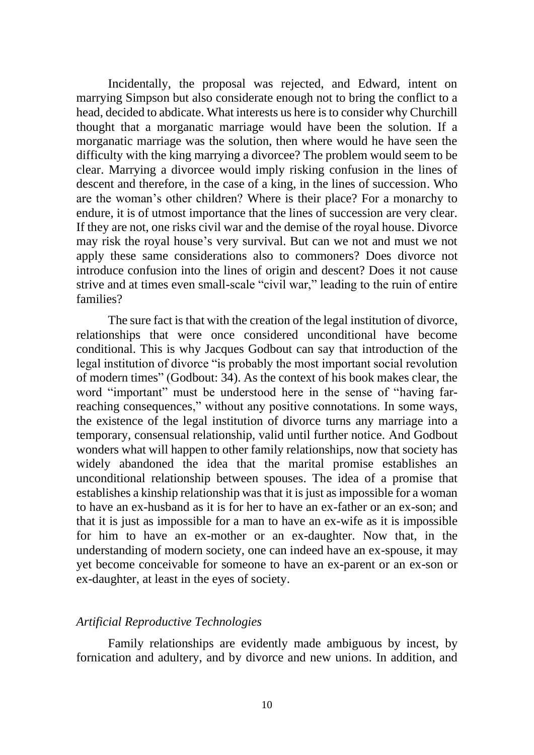Incidentally, the proposal was rejected, and Edward, intent on marrying Simpson but also considerate enough not to bring the conflict to a head, decided to abdicate. What interests us here is to consider why Churchill thought that a morganatic marriage would have been the solution. If a morganatic marriage was the solution, then where would he have seen the difficulty with the king marrying a divorcee? The problem would seem to be clear. Marrying a divorcee would imply risking confusion in the lines of descent and therefore, in the case of a king, in the lines of succession. Who are the woman's other children? Where is their place? For a monarchy to endure, it is of utmost importance that the lines of succession are very clear. If they are not, one risks civil war and the demise of the royal house. Divorce may risk the royal house's very survival. But can we not and must we not apply these same considerations also to commoners? Does divorce not introduce confusion into the lines of origin and descent? Does it not cause strive and at times even small-scale "civil war," leading to the ruin of entire families?

The sure fact is that with the creation of the legal institution of divorce, relationships that were once considered unconditional have become conditional. This is why Jacques Godbout can say that introduction of the legal institution of divorce "is probably the most important social revolution of modern times" (Godbout: 34). As the context of his book makes clear, the word "important" must be understood here in the sense of "having farreaching consequences," without any positive connotations. In some ways, the existence of the legal institution of divorce turns any marriage into a temporary, consensual relationship, valid until further notice. And Godbout wonders what will happen to other family relationships, now that society has widely abandoned the idea that the marital promise establishes an unconditional relationship between spouses. The idea of a promise that establishes a kinship relationship was that it is just as impossible for a woman to have an ex-husband as it is for her to have an ex-father or an ex-son; and that it is just as impossible for a man to have an ex-wife as it is impossible for him to have an ex-mother or an ex-daughter. Now that, in the understanding of modern society, one can indeed have an ex-spouse, it may yet become conceivable for someone to have an ex-parent or an ex-son or ex-daughter, at least in the eyes of society.

#### *Artificial Reproductive Technologies*

Family relationships are evidently made ambiguous by incest, by fornication and adultery, and by divorce and new unions. In addition, and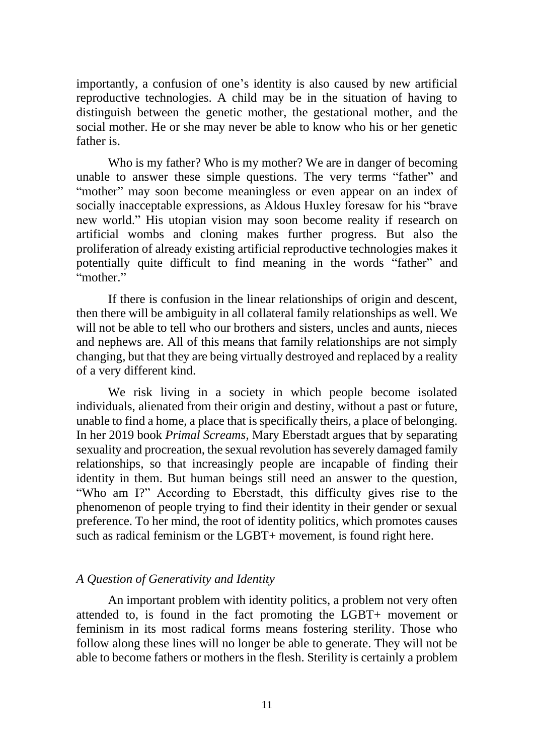importantly, a confusion of one's identity is also caused by new artificial reproductive technologies. A child may be in the situation of having to distinguish between the genetic mother, the gestational mother, and the social mother. He or she may never be able to know who his or her genetic father is.

Who is my father? Who is my mother? We are in danger of becoming unable to answer these simple questions. The very terms "father" and "mother" may soon become meaningless or even appear on an index of socially inacceptable expressions, as Aldous Huxley foresaw for his "brave new world." His utopian vision may soon become reality if research on artificial wombs and cloning makes further progress. But also the proliferation of already existing artificial reproductive technologies makes it potentially quite difficult to find meaning in the words "father" and "mother."

If there is confusion in the linear relationships of origin and descent, then there will be ambiguity in all collateral family relationships as well. We will not be able to tell who our brothers and sisters, uncles and aunts, nieces and nephews are. All of this means that family relationships are not simply changing, but that they are being virtually destroyed and replaced by a reality of a very different kind.

We risk living in a society in which people become isolated individuals, alienated from their origin and destiny, without a past or future, unable to find a home, a place that is specifically theirs, a place of belonging. In her 2019 book *Primal Screams*, Mary Eberstadt argues that by separating sexuality and procreation, the sexual revolution has severely damaged family relationships, so that increasingly people are incapable of finding their identity in them. But human beings still need an answer to the question, "Who am I?" According to Eberstadt, this difficulty gives rise to the phenomenon of people trying to find their identity in their gender or sexual preference. To her mind, the root of identity politics, which promotes causes such as radical feminism or the LGBT+ movement, is found right here.

## *A Question of Generativity and Identity*

An important problem with identity politics, a problem not very often attended to, is found in the fact promoting the LGBT+ movement or feminism in its most radical forms means fostering sterility. Those who follow along these lines will no longer be able to generate. They will not be able to become fathers or mothers in the flesh. Sterility is certainly a problem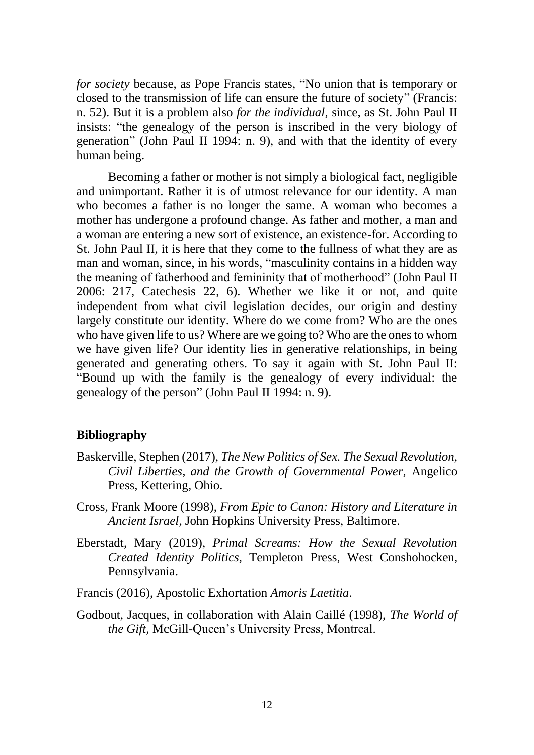*for society* because, as Pope Francis states, "No union that is temporary or closed to the transmission of life can ensure the future of society" (Francis: n. 52). But it is a problem also *for the individual,* since, as St. John Paul II insists: "the genealogy of the person is inscribed in the very biology of generation" (John Paul II 1994: n. 9), and with that the identity of every human being.

Becoming a father or mother is not simply a biological fact, negligible and unimportant. Rather it is of utmost relevance for our identity. A man who becomes a father is no longer the same. A woman who becomes a mother has undergone a profound change. As father and mother, a man and a woman are entering a new sort of existence, an existence-for. According to St. John Paul II, it is here that they come to the fullness of what they are as man and woman, since, in his words, "masculinity contains in a hidden way the meaning of fatherhood and femininity that of motherhood" (John Paul II 2006: 217, Catechesis 22, 6). Whether we like it or not, and quite independent from what civil legislation decides, our origin and destiny largely constitute our identity. Where do we come from? Who are the ones who have given life to us? Where are we going to? Who are the ones to whom we have given life? Our identity lies in generative relationships, in being generated and generating others. To say it again with St. John Paul II: "Bound up with the family is the genealogy of every individual: the genealogy of the person" (John Paul II 1994: n. 9).

## **Bibliography**

- Baskerville, Stephen (2017), *The New Politics of Sex. The Sexual Revolution, Civil Liberties, and the Growth of Governmental Power,* Angelico Press, Kettering, Ohio.
- Cross, Frank Moore (1998), *From Epic to Canon: History and Literature in Ancient Israel,* John Hopkins University Press, Baltimore.
- Eberstadt, Mary (2019), *Primal Screams: How the Sexual Revolution Created Identity Politics,* Templeton Press, West Conshohocken, Pennsylvania.

Francis (2016), Apostolic Exhortation *Amoris Laetitia*.

Godbout, Jacques, in collaboration with Alain Caillé (1998), *The World of the Gift,* McGill-Queen's University Press, Montreal.